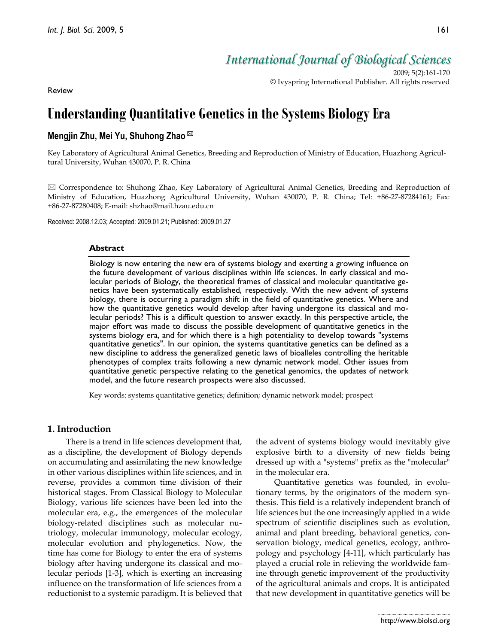*International Journal of Biological Sciences*

2009; 5(2):161-170 © Ivyspring International Publisher. All rights reserved

Review

# **Understanding Quantitative Genetics in the Systems Biology Era**

# **Mengjin Zhu, Mei Yu, Shuhong Zhao**

Key Laboratory of Agricultural Animal Genetics, Breeding and Reproduction of Ministry of Education, Huazhong Agricultural University, Wuhan 430070, P. R. China

 Correspondence to: Shuhong Zhao, Key Laboratory of Agricultural Animal Genetics, Breeding and Reproduction of Ministry of Education, Huazhong Agricultural University, Wuhan 430070, P. R. China; Tel: +86-27-87284161; Fax: +86-27-87280408; E-mail: shzhao@mail.hzau.edu.cn

Received: 2008.12.03; Accepted: 2009.01.21; Published: 2009.01.27

#### **Abstract**

Biology is now entering the new era of systems biology and exerting a growing influence on the future development of various disciplines within life sciences. In early classical and molecular periods of Biology, the theoretical frames of classical and molecular quantitative genetics have been systematically established, respectively. With the new advent of systems biology, there is occurring a paradigm shift in the field of quantitative genetics. Where and how the quantitative genetics would develop after having undergone its classical and molecular periods? This is a difficult question to answer exactly. In this perspective article, the major effort was made to discuss the possible development of quantitative genetics in the systems biology era, and for which there is a high potentiality to develop towards "systems quantitative genetics". In our opinion, the systems quantitative genetics can be defined as a new discipline to address the generalized genetic laws of bioalleles controlling the heritable phenotypes of complex traits following a new dynamic network model. Other issues from quantitative genetic perspective relating to the genetical genomics, the updates of network model, and the future research prospects were also discussed.

Key words: systems quantitative genetics; definition; dynamic network model; prospect

# **1. Introduction**

There is a trend in life sciences development that, as a discipline, the development of Biology depends on accumulating and assimilating the new knowledge in other various disciplines within life sciences, and in reverse, provides a common time division of their historical stages. From Classical Biology to Molecular Biology, various life sciences have been led into the molecular era, e.g., the emergences of the molecular biology-related disciplines such as molecular nutriology, molecular immunology, molecular ecology, molecular evolution and phylogenetics. Now, the time has come for Biology to enter the era of systems biology after having undergone its classical and molecular periods [1-3], which is exerting an increasing influence on the transformation of life sciences from a reductionist to a systemic paradigm. It is believed that

the advent of systems biology would inevitably give explosive birth to a diversity of new fields being dressed up with a "systems" prefix as the "molecular" in the molecular era.

Quantitative genetics was founded, in evolutionary terms, by the originators of the modern synthesis. This field is a relatively independent branch of life sciences but the one increasingly applied in a wide spectrum of scientific disciplines such as evolution, animal and plant breeding, behavioral genetics, conservation biology, medical genetics, ecology, anthropology and psychology [4-11], which particularly has played a crucial role in relieving the worldwide famine through genetic improvement of the productivity of the agricultural animals and crops. It is anticipated that new development in quantitative genetics will be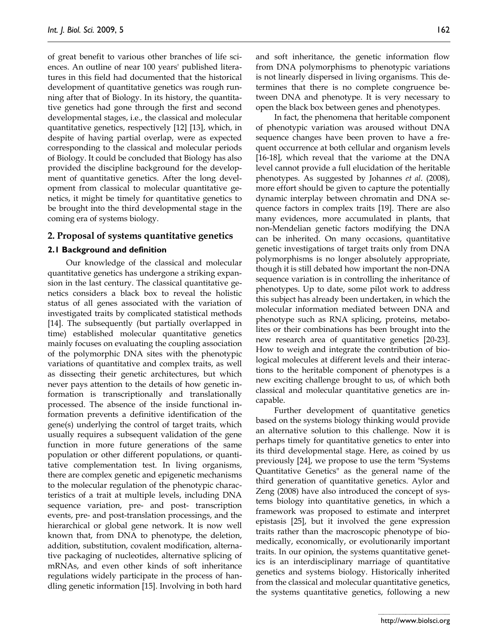of great benefit to various other branches of life sciences. An outline of near 100 years' published literatures in this field had documented that the historical development of quantitative genetics was rough running after that of Biology. In its history, the quantitative genetics had gone through the first and second developmental stages, i.e., the classical and molecular quantitative genetics, respectively [12] [13], which, in despite of having partial overlap, were as expected corresponding to the classical and molecular periods of Biology. It could be concluded that Biology has also provided the discipline background for the development of quantitative genetics. After the long development from classical to molecular quantitative genetics, it might be timely for quantitative genetics to be brought into the third developmental stage in the coming era of systems biology.

#### **2. Proposal of systems quantitative genetics**

#### **2.1 Background and definition**

Our knowledge of the classical and molecular quantitative genetics has undergone a striking expansion in the last century. The classical quantitative genetics considers a black box to reveal the holistic status of all genes associated with the variation of investigated traits by complicated statistical methods [14]. The subsequently (but partially overlapped in time) established molecular quantitative genetics mainly focuses on evaluating the coupling association of the polymorphic DNA sites with the phenotypic variations of quantitative and complex traits, as well as dissecting their genetic architectures, but which never pays attention to the details of how genetic information is transcriptionally and translationally processed. The absence of the inside functional information prevents a definitive identification of the gene(s) underlying the control of target traits, which usually requires a subsequent validation of the gene function in more future generations of the same population or other different populations, or quantitative complementation test. In living organisms, there are complex genetic and epigenetic mechanisms to the molecular regulation of the phenotypic characteristics of a trait at multiple levels, including DNA sequence variation, pre- and post- transcription events, pre- and post-translation processings, and the hierarchical or global gene network. It is now well known that, from DNA to phenotype, the deletion, addition, substitution, covalent modification, alternative packaging of nucleotides, alternative splicing of mRNAs, and even other kinds of soft inheritance regulations widely participate in the process of handling genetic information [15]. Involving in both hard

and soft inheritance, the genetic information flow from DNA polymorphisms to phenotypic variations is not linearly dispersed in living organisms. This determines that there is no complete congruence between DNA and phenotype. It is very necessary to open the black box between genes and phenotypes.

In fact, the phenomena that heritable component of phenotypic variation was aroused without DNA sequence changes have been proven to have a frequent occurrence at both cellular and organism levels [16-18], which reveal that the variome at the DNA level cannot provide a full elucidation of the heritable phenotypes. As suggested by Johannes *et al*. (2008), more effort should be given to capture the potentially dynamic interplay between chromatin and DNA sequence factors in complex traits [19]. There are also many evidences, more accumulated in plants, that non-Mendelian genetic factors modifying the DNA can be inherited. On many occasions, quantitative genetic investigations of target traits only from DNA polymorphisms is no longer absolutely appropriate, though it is still debated how important the non-DNA sequence variation is in controlling the inheritance of phenotypes. Up to date, some pilot work to address this subject has already been undertaken, in which the molecular information mediated between DNA and phenotype such as RNA splicing, proteins, metabolites or their combinations has been brought into the new research area of quantitative genetics [20-23]. How to weigh and integrate the contribution of biological molecules at different levels and their interactions to the heritable component of phenotypes is a new exciting challenge brought to us, of which both classical and molecular quantitative genetics are incapable.

Further development of quantitative genetics based on the systems biology thinking would provide an alternative solution to this challenge. Now it is perhaps timely for quantitative genetics to enter into its third developmental stage. Here, as coined by us previously [24], we propose to use the term "Systems Quantitative Genetics" as the general name of the third generation of quantitative genetics. Aylor and Zeng (2008) have also introduced the concept of systems biology into quantitative genetics, in which a framework was proposed to estimate and interpret epistasis [25], but it involved the gene expression traits rather than the macroscopic phenotype of biomedically, economically, or evolutionarily important traits. In our opinion, the systems quantitative genetics is an interdisciplinary marriage of quantitative genetics and systems biology. Historically inherited from the classical and molecular quantitative genetics, the systems quantitative genetics, following a new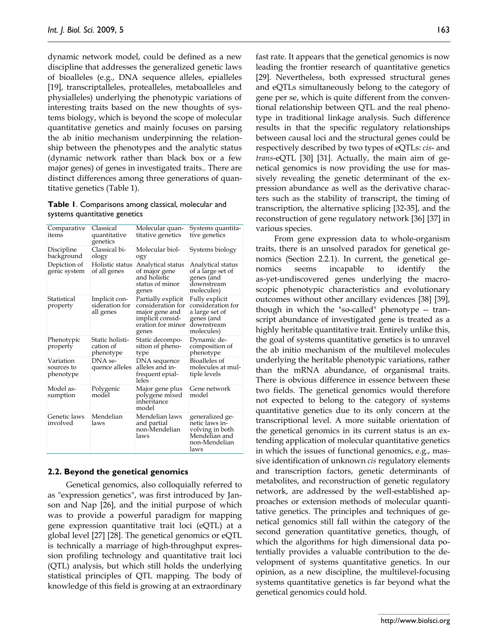dynamic network model, could be defined as a new discipline that addresses the generalized genetic laws of bioalleles (e.g., DNA sequence alleles, epialleles [19], transcriptalleles, protealleles, metaboalleles and physialleles) underlying the phenotypic variations of interesting traits based on the new thoughts of systems biology, which is beyond the scope of molecular quantitative genetics and mainly focuses on parsing the ab initio mechanism underpinning the relationship between the phenotypes and the analytic status (dynamic network rather than black box or a few major genes) of genes in investigated traits.. There are distinct differences among three generations of quantitative genetics (Table 1).

**Table 1**. Comparisons among classical, molecular and systems quantitative genetics

| Comparative<br>items                 | Classical<br>quantitative<br>genetics        | Molecular quan-<br>titative genetics                                                                        | Systems quantita-<br>tive genetics                                                              |
|--------------------------------------|----------------------------------------------|-------------------------------------------------------------------------------------------------------------|-------------------------------------------------------------------------------------------------|
| Discipline<br>background             | Classical bi-<br>ology                       | Molecular biol-<br>ogy                                                                                      | Systems biology                                                                                 |
| Depiction of<br>genic system         | Holistic status<br>of all genes              | Analytical status<br>of major gene<br>and holistic<br>status of minor<br>genes                              | Analytical status<br>of a large set of<br>genes (and<br>downstream<br>molecules)                |
| Statistical<br>property              | Implicit con-<br>sideration for<br>all genes | Partially explicit<br>consideration for<br>major gene and<br>implicit consid-<br>eration for minor<br>genes | Fully explicit<br>consideration for<br>a large set of<br>genes (and<br>downstream<br>molecules) |
| Phenotypic<br>property               | Static holisti-<br>cation of<br>phenotype    | Static decompo-<br>sition of pheno-<br>type                                                                 | Dynamic de-<br>composition of<br>phenotype                                                      |
| Variation<br>sources to<br>phenotype | DNA se-<br>quence alleles                    | DNA sequence<br>alleles and in-<br>frequent epial-<br>leles                                                 | <b>Bioalleles of</b><br>molecules at mul-<br>tiple levels                                       |
| Model as-<br>sumption                | Polygenic<br>model                           | Major gene plus<br>polygene mixed<br>inheritance<br>model                                                   | Gene network<br>model                                                                           |
| Genetic laws<br>involved             | Mendelian<br>laws                            | Mendelian laws<br>and partial<br>non-Mendelian<br>laws                                                      | generalized ge-<br>netic laws in-<br>volving in both<br>Mendelian and<br>non-Mendelian<br>laws  |

#### **2.2. Beyond the genetical genomics**

Genetical genomics, also colloquially referred to as "expression genetics", was first introduced by Janson and Nap [26], and the initial purpose of which was to provide a powerful paradigm for mapping gene expression quantitative trait loci (eQTL) at a global level [27] [28]. The genetical genomics or eQTL is technically a marriage of high-throughput expression profiling technology and quantitative trait loci (QTL) analysis, but which still holds the underlying statistical principles of QTL mapping. The body of knowledge of this field is growing at an extraordinary

fast rate. It appears that the genetical genomics is now leading the frontier research of quantitative genetics [29]. Nevertheless, both expressed structural genes and eQTLs simultaneously belong to the category of gene per se, which is quite different from the conventional relationship between QTL and the real phenotype in traditional linkage analysis. Such difference results in that the specific regulatory relationships between causal loci and the structural genes could be respectively described by two types of eQTLs: *cis*- and *trans*-eQTL [30] [31]. Actually, the main aim of genetical genomics is now providing the use for massively revealing the genetic determinant of the expression abundance as well as the derivative characters such as the stability of transcript, the timing of transcription, the alternative splicing [32-35], and the reconstruction of gene regulatory network [36] [37] in various species.

From gene expression data to whole-organism traits, there is an unsolved paradox for genetical genomics (Section 2.2.1). In current, the genetical genomics seems incapable to identify the as-yet-undiscovered genes underlying the macroscopic phenotypic characteristics and evolutionary outcomes without other ancillary evidences [38] [39], though in which the "so-called" phenotype -- transcript abundance of investigated gene is treated as a highly heritable quantitative trait. Entirely unlike this, the goal of systems quantitative genetics is to unravel the ab initio mechanism of the multilevel molecules underlying the heritable phenotypic variations, rather than the mRNA abundance, of organismal traits. There is obvious difference in essence between these two fields. The genetical genomics would therefore not expected to belong to the category of systems quantitative genetics due to its only concern at the transcriptional level. A more suitable orientation of the genetical genomics in its current status is an extending application of molecular quantitative genetics in which the issues of functional genomics, e.g., massive identification of unknown *cis* regulatory elements and transcription factors, genetic determinants of metabolites, and reconstruction of genetic regulatory network, are addressed by the well-established approaches or extension methods of molecular quantitative genetics. The principles and techniques of genetical genomics still fall within the category of the second generation quantitative genetics, though, of which the algorithms for high dimensional data potentially provides a valuable contribution to the development of systems quantitative genetics. In our opinion, as a new discipline, the multilevel-focusing systems quantitative genetics is far beyond what the genetical genomics could hold.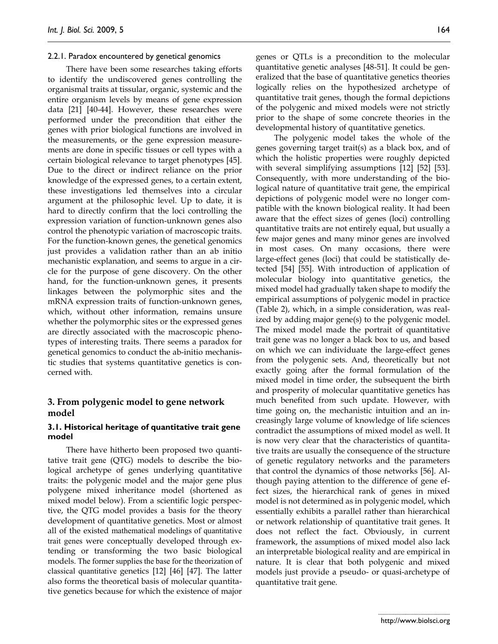#### 2.2.1. Paradox encountered by genetical genomics

There have been some researches taking efforts to identify the undiscovered genes controlling the organismal traits at tissular, organic, systemic and the entire organism levels by means of gene expression data [21] [40-44]. However, these researches were performed under the precondition that either the genes with prior biological functions are involved in the measurements, or the gene expression measurements are done in specific tissues or cell types with a certain biological relevance to target phenotypes [45]. Due to the direct or indirect reliance on the prior knowledge of the expressed genes, to a certain extent, these investigations led themselves into a circular argument at the philosophic level. Up to date, it is hard to directly confirm that the loci controlling the expression variation of function-unknown genes also control the phenotypic variation of macroscopic traits. For the function-known genes, the genetical genomics just provides a validation rather than an ab initio mechanistic explanation, and seems to argue in a circle for the purpose of gene discovery. On the other hand, for the function-unknown genes, it presents linkages between the polymorphic sites and the mRNA expression traits of function-unknown genes, which, without other information, remains unsure whether the polymorphic sites or the expressed genes are directly associated with the macroscopic phenotypes of interesting traits. There seems a paradox for genetical genomics to conduct the ab-initio mechanistic studies that systems quantitative genetics is concerned with.

# **3. From polygenic model to gene network model**

# **3.1. Historical heritage of quantitative trait gene model**

There have hitherto been proposed two quantitative trait gene (QTG) models to describe the biological archetype of genes underlying quantitative traits: the polygenic model and the major gene plus polygene mixed inheritance model (shortened as mixed model below). From a scientific logic perspective, the QTG model provides a basis for the theory development of quantitative genetics. Most or almost all of the existed mathematical modelings of quantitative trait genes were conceptually developed through extending or transforming the two basic biological models. The former supplies the base for the theorization of classical quantitative genetics [12] [46] [47]. The latter also forms the theoretical basis of molecular quantitative genetics because for which the existence of major

genes or QTLs is a precondition to the molecular quantitative genetic analyses [48-51]. It could be generalized that the base of quantitative genetics theories logically relies on the hypothesized archetype of quantitative trait genes, though the formal depictions of the polygenic and mixed models were not strictly prior to the shape of some concrete theories in the developmental history of quantitative genetics.

The polygenic model takes the whole of the genes governing target trait(s) as a black box, and of which the holistic properties were roughly depicted with several simplifying assumptions [12] [52] [53]. Consequently, with more understanding of the biological nature of quantitative trait gene, the empirical depictions of polygenic model were no longer compatible with the known biological reality. It had been aware that the effect sizes of genes (loci) controlling quantitative traits are not entirely equal, but usually a few major genes and many minor genes are involved in most cases. On many occasions, there were large-effect genes (loci) that could be statistically detected [54] [55]. With introduction of application of molecular biology into quantitative genetics, the mixed model had gradually taken shape to modify the empirical assumptions of polygenic model in practice (Table 2), which, in a simple consideration, was realized by adding major gene(s) to the polygenic model. The mixed model made the portrait of quantitative trait gene was no longer a black box to us, and based on which we can individuate the large-effect genes from the polygenic sets. And, theoretically but not exactly going after the formal formulation of the mixed model in time order, the subsequent the birth and prosperity of molecular quantitative genetics has much benefited from such update. However, with time going on, the mechanistic intuition and an increasingly large volume of knowledge of life sciences contradict the assumptions of mixed model as well. It is now very clear that the characteristics of quantitative traits are usually the consequence of the structure of genetic regulatory networks and the parameters that control the dynamics of those networks [56]. Although paying attention to the difference of gene effect sizes, the hierarchical rank of genes in mixed model is not determined as in polygenic model, which essentially exhibits a parallel rather than hierarchical or network relationship of quantitative trait genes. It does not reflect the fact. Obviously, in current framework, the assumptions of mixed model also lack an interpretable biological reality and are empirical in nature. It is clear that both polygenic and mixed models just provide a pseudo- or quasi-archetype of quantitative trait gene.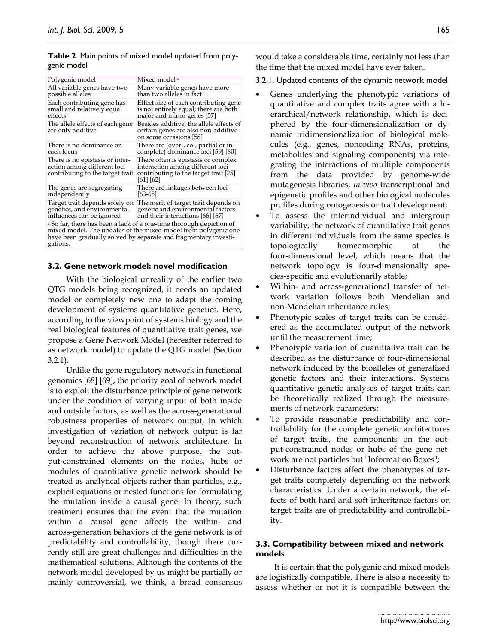#### **Table 2**. Main points of mixed model updated from polygenic model

| Polygenic model                                                                                    | Mixed model <sup>a</sup>                                                                                                      |
|----------------------------------------------------------------------------------------------------|-------------------------------------------------------------------------------------------------------------------------------|
| All variable genes have two<br>possible alleles                                                    | Many variable genes have more<br>than two alleles in fact                                                                     |
| Each contributing gene has<br>small and relatively equal<br>effects                                | Effect size of each contributing gene<br>is not entirely equal; there are both<br>major and minor genes [57]                  |
| The allele effects of each gene<br>are only additive                                               | Besides additive, the allele effects of<br>certain genes are also non-additive<br>on some occasions [58]                      |
| There is no dominance on<br>each locus                                                             | There are (over-, co-, partial or in-<br>complete) dominance loci [59] [60]                                                   |
| There is no epistasis or inter-<br>action among different loci<br>contributing to the target trait | There often is epistasis or complex<br>interaction among different loci<br>contributing to the target trait [25]<br>[61] [62] |
| The genes are segregating<br>independently                                                         | There are linkages between loci<br>$[63-65]$                                                                                  |
| Target trait depends solely on<br>genetics, and environmental<br>influences can be ignored         | The merit of target trait depends on<br>genetic and environmental factors<br>and their interactions [66] [67]                 |

a So far, there has been a lack of a one-time thorough depiction of mixed model. The updates of the mixed model from polygenic one have been gradually solved by separate and fragmentary investigations.

# **3.2. Gene network model: novel modification**

With the biological unreality of the earlier two QTG models being recognized, it needs an updated model or completely new one to adapt the coming development of systems quantitative genetics. Here, according to the viewpoint of systems biology and the real biological features of quantitative trait genes, we propose a Gene Network Model (hereafter referred to as network model) to update the QTG model (Section 3.2.1).

Unlike the gene regulatory network in functional genomics [68] [69], the priority goal of network model is to exploit the disturbance principle of gene network under the condition of varying input of both inside and outside factors, as well as the across-generational robustness properties of network output, in which investigation of variation of network output is far beyond reconstruction of network architecture. In order to achieve the above purpose, the output-constrained elements on the nodes, hubs or modules of quantitative genetic network should be treated as analytical objects rather than particles, e.g., explicit equations or nested functions for formulating the mutation inside a causal gene. In theory, such treatment ensures that the event that the mutation within a causal gene affects the within- and across-generation behaviors of the gene network is of predictability and controllability, though there currently still are great challenges and difficulties in the mathematical solutions. Although the contents of the network model developed by us might be partially or mainly controversial, we think, a broad consensus

would take a considerable time, certainly not less than the time that the mixed model have ever taken.

#### 3.2.1. Updated contents of the dynamic network model

- Genes underlying the phenotypic variations of quantitative and complex traits agree with a hierarchical/network relationship, which is deciphered by the four-dimensionalization or dynamic tridimensionalization of biological molecules (e.g., genes, noncoding RNAs, proteins, metabolites and signaling components) via integrating the interactions of multiple components from the data provided by genome-wide mutagenesis libraries, *in vivo* transcriptional and epigenetic profiles and other biological molecules profiles during ontogenesis or trait development;
- To assess the interindividual and intergroup variability, the network of quantitative trait genes in different individuals from the same species is topologically homeomorphic at the four-dimensional level, which means that the network topology is four-dimensionally species-specific and evolutionarily stable;
- Within- and across-generational transfer of network variation follows both Mendelian and non-Mendelian inheritance rules;
- Phenotypic scales of target traits can be considered as the accumulated output of the network until the measurement time;
- Phenotypic variation of quantitative trait can be described as the disturbance of four-dimensional network induced by the bioalleles of generalized genetic factors and their interactions. Systems quantitative genetic analyses of target traits can be theoretically realized through the measurements of network parameters;
- To provide reasonable predictability and controllability for the complete genetic architectures of target traits, the components on the output-constrained nodes or hubs of the gene network are not particles but "Information Boxes";
- Disturbance factors affect the phenotypes of target traits completely depending on the network characteristics. Under a certain network, the effects of both hard and soft inheritance factors on target traits are of predictability and controllability.

#### **3.3. Compatibility between mixed and network models**

It is certain that the polygenic and mixed models are logistically compatible. There is also a necessity to assess whether or not it is compatible between the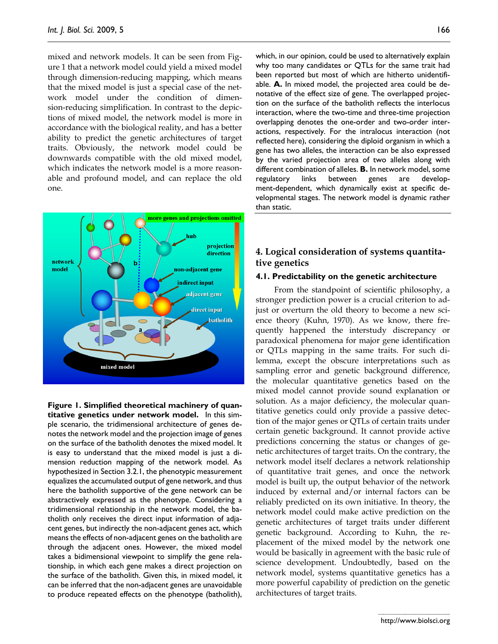mixed and network models. It can be seen from Figure 1 that a network model could yield a mixed model through dimension-reducing mapping, which means that the mixed model is just a special case of the network model under the condition of dimension-reducing simplification. In contrast to the depictions of mixed model, the network model is more in accordance with the biological reality, and has a better ability to predict the genetic architectures of target traits. Obviously, the network model could be downwards compatible with the old mixed model, which indicates the network model is a more reasonable and profound model, and can replace the old one.



**Figure 1. Simplified theoretical machinery of quantitative genetics under network model.** In this simple scenario, the tridimensional architecture of genes denotes the network model and the projection image of genes on the surface of the batholith denotes the mixed model. It is easy to understand that the mixed model is just a dimension reduction mapping of the network model. As hypothesized in Section 3.2.1, the phenotypic measurement equalizes the accumulated output of gene network, and thus here the batholith supportive of the gene network can be abstractively expressed as the phenotype. Considering a tridimensional relationship in the network model, the batholith only receives the direct input information of adjacent genes, but indirectly the non-adjacent genes act, which means the effects of non-adjacent genes on the batholith are through the adjacent ones. However, the mixed model takes a bidimensional viewpoint to simplify the gene relationship, in which each gene makes a direct projection on the surface of the batholith. Given this, in mixed model, it can be inferred that the non-adjacent genes are unavoidable to produce repeated effects on the phenotype (batholith),

which, in our opinion, could be used to alternatively explain why too many candidates or QTLs for the same trait had been reported but most of which are hitherto unidentifiable. **A.** In mixed model, the projected area could be denotative of the effect size of gene. The overlapped projection on the surface of the batholith reflects the interlocus interaction, where the two-time and three-time projection overlapping denotes the one-order and two-order interactions, respectively. For the intralocus interaction (not reflected here), considering the diploid organism in which a gene has two alleles, the interaction can be also expressed by the varied projection area of two alleles along with different combination of alleles. **B.** In network model, some regulatory links between genes are development-dependent, which dynamically exist at specific developmental stages. The network model is dynamic rather than static.

# **4. Logical consideration of systems quantitative genetics**

#### **4.1. Predictability on the genetic architecture**

From the standpoint of scientific philosophy, a stronger prediction power is a crucial criterion to adjust or overturn the old theory to become a new science theory (Kuhn, 1970). As we know, there frequently happened the interstudy discrepancy or paradoxical phenomena for major gene identification or QTLs mapping in the same traits. For such dilemma, except the obscure interpretations such as sampling error and genetic background difference, the molecular quantitative genetics based on the mixed model cannot provide sound explanation or solution. As a major deficiency, the molecular quantitative genetics could only provide a passive detection of the major genes or QTLs of certain traits under certain genetic background. It cannot provide active predictions concerning the status or changes of genetic architectures of target traits. On the contrary, the network model itself declares a network relationship of quantitative trait genes, and once the network model is built up, the output behavior of the network induced by external and/or internal factors can be reliably predicted on its own initiative. In theory, the network model could make active prediction on the genetic architectures of target traits under different genetic background. According to Kuhn, the replacement of the mixed model by the network one would be basically in agreement with the basic rule of science development. Undoubtedly, based on the network model, systems quantitative genetics has a more powerful capability of prediction on the genetic architectures of target traits.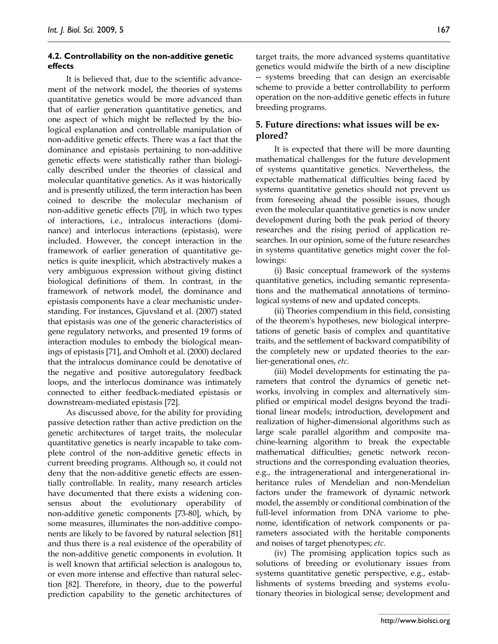# **4.2. Controllability on the non-additive genetic effects**

It is believed that, due to the scientific advancement of the network model, the theories of systems quantitative genetics would be more advanced than that of earlier generation quantitative genetics, and one aspect of which might be reflected by the biological explanation and controllable manipulation of non-additive genetic effects. There was a fact that the dominance and epistasis pertaining to non-additive genetic effects were statistically rather than biologically described under the theories of classical and molecular quantitative genetics. As it was historically and is presently utilized, the term interaction has been coined to describe the molecular mechanism of non-additive genetic effects [70], in which two types of interactions, i.e., intralocus interactions (dominance) and interlocus interactions (epistasis), were included. However, the concept interaction in the framework of earlier generation of quantitative genetics is quite inexplicit, which abstractively makes a very ambiguous expression without giving distinct biological definitions of them. In contrast, in the framework of network model, the dominance and epistasis components have a clear mechanistic understanding. For instances, Gjuvsland et al. (2007) stated that epistasis was one of the generic characteristics of gene regulatory networks, and presented 19 forms of interaction modules to embody the biological meanings of epistasis [71], and Omholt et al. (2000) declared that the intralocus dominance could be denotative of the negative and positive autoregulatory feedback loops, and the interlocus dominance was intimately connected to either feedback-mediated epistasis or downstream-mediated epistasis [72].

As discussed above, for the ability for providing passive detection rather than active prediction on the genetic architectures of target traits, the molecular quantitative genetics is nearly incapable to take complete control of the non-additive genetic effects in current breeding programs. Although so, it could not deny that the non-additive genetic effects are essentially controllable. In reality, many research articles have documented that there exists a widening consensus about the evolutionary operability of non-additive genetic components [73-80], which, by some measures, illuminates the non-additive components are likely to be favored by natural selection [81] and thus there is a real existence of the operability of the non-additive genetic components in evolution. It is well known that artificial selection is analogous to, or even more intense and effective than natural selection [82]. Therefore, in theory, due to the powerful prediction capability to the genetic architectures of

target traits, the more advanced systems quantitative genetics would midwife the birth of a new discipline -- systems breeding that can design an exercisable scheme to provide a better controllability to perform operation on the non-additive genetic effects in future breeding programs.

# **5. Future directions: what issues will be explored?**

It is expected that there will be more daunting mathematical challenges for the future development of systems quantitative genetics. Nevertheless, the expectable mathematical difficulties being faced by systems quantitative genetics should not prevent us from foreseeing ahead the possible issues, though even the molecular quantitative genetics is now under development during both the peak period of theory researches and the rising period of application researches. In our opinion, some of the future researches in systems quantitative genetics might cover the followings:

(i) Basic conceptual framework of the systems quantitative genetics, including semantic representations and the mathematical annotations of terminological systems of new and updated concepts.

(ii) Theories compendium in this field, consisting of the theorem's hypotheses, new biological interpretations of genetic basis of complex and quantitative traits, and the settlement of backward compatibility of the completely new or updated theories to the earlier-generational ones, *etc*.

(iii) Model developments for estimating the parameters that control the dynamics of genetic networks, involving in complex and alternatively simplified or empirical model designs beyond the traditional linear models; introduction, development and realization of higher-dimensional algorithms such as large scale parallel algorithm and composite machine-learning algorithm to break the expectable mathematical difficulties; genetic network reconstructions and the corresponding evaluation theories, e.g., the intragenerational and intergenerational inheritance rules of Mendelian and non-Mendelian factors under the framework of dynamic network model, the assembly or conditional combination of the full-level information from DNA variome to phenome, identification of network components or parameters associated with the heritable components and noises of target phenotypes; *etc*.

(iv) The promising application topics such as solutions of breeding or evolutionary issues from systems quantitative genetic perspective, e.g., establishments of systems breeding and systems evolutionary theories in biological sense; development and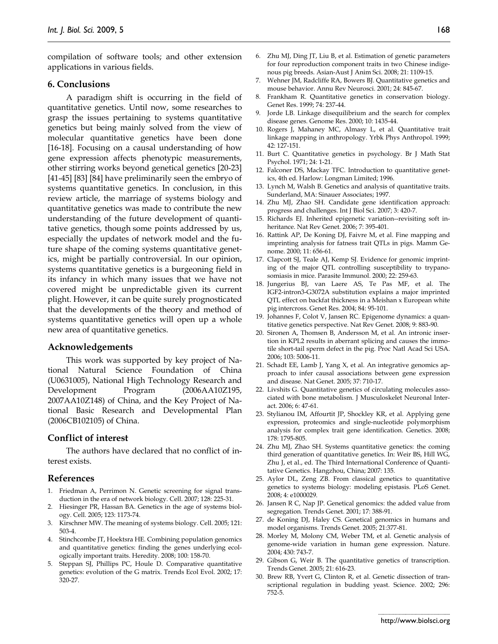compilation of software tools; and other extension applications in various fields.

#### **6. Conclusions**

A paradigm shift is occurring in the field of quantitative genetics. Until now, some researches to grasp the issues pertaining to systems quantitative genetics but being mainly solved from the view of molecular quantitative genetics have been done [16-18]. Focusing on a causal understanding of how gene expression affects phenotypic measurements, other stirring works beyond genetical genetics [20-23] [41-45] [83] [84] have preliminarily seen the embryo of systems quantitative genetics. In conclusion, in this review article, the marriage of systems biology and quantitative genetics was made to contribute the new understanding of the future development of quantitative genetics, though some points addressed by us, especially the updates of network model and the future shape of the coming systems quantitative genetics, might be partially controversial. In our opinion, systems quantitative genetics is a burgeoning field in its infancy in which many issues that we have not covered might be unpredictable given its current plight. However, it can be quite surely prognosticated that the developments of the theory and method of systems quantitative genetics will open up a whole new area of quantitative genetics.

#### **Acknowledgements**

This work was supported by key project of National Natural Science Foundation of China (U0631005), National High Technology Research and Development Program (2006AA10Z195, 2007AA10Z148) of China, and the Key Project of National Basic Research and Developmental Plan (2006CB102105) of China.

#### **Conflict of interest**

The authors have declared that no conflict of interest exists.

#### **References**

- 1. Friedman A, Perrimon N. Genetic screening for signal transduction in the era of network biology. Cell. 2007; 128: 225-31.
- 2. Hiesinger PR, Hassan BA. Genetics in the age of systems biology. Cell. 2005; 123: 1173-74.
- 3. Kirschner MW. The meaning of systems biology. Cell. 2005; 121: 503-4.
- 4. Stinchcombe JT, Hoektsra HE. Combining population genomics and quantitative genetics: finding the genes underlying ecologically important traits. Heredity. 2008; 100: 158-70.
- 5. Steppan SJ, Phillips PC, Houle D. Comparative quantitative genetics: evolution of the G matrix. Trends Ecol Evol. 2002; 17: 320-27.
- 6. Zhu MJ, Ding JT, Liu B, et al. Estimation of genetic parameters for four reproduction component traits in two Chinese indigenous pig breeds. Asian-Aust J Anim Sci. 2008; 21: 1109-15.
- 7. Wehner JM, Radcliffe RA, Bowers BJ. Quantitative genetics and mouse behavior. Annu Rev Neurosci. 2001; 24: 845-67.
- 8. Frankham R. Quantitative genetics in conservation biology. Genet Res. 1999; 74: 237-44.
- 9. Jorde LB. Linkage disequilibrium and the search for complex disease genes. Genome Res. 2000; 10: 1435-44.
- 10. Rogers J, Mahaney MC, Almasy L, et al. Quantitative trait linkage mapping in anthropology. Yrbk Phys Anthropol. 1999; 42: 127-151.
- 11. Burt C. Quantitative genetics in psychology. Br J Math Stat Psychol. 1971; 24: 1-21.
- 12. Falconer DS, Mackay TFC. Introduction to quantitative genetics, 4th ed. Harlow: Longman Limited; 1996.
- 13. Lynch M, Walsh B. Genetics and analysis of quantitative traits. Sunderland, MA: Sinauer Associates; 1997.
- 14. Zhu MJ, Zhao SH. Candidate gene identification approach: progress and challenges. Int J Biol Sci. 2007; 3: 420-7.
- 15. Richards EJ. Inherited epigenetic variation--revisiting soft inheritance. Nat Rev Genet. 2006; 7: 395-401.
- 16. Rattink AP, De Koning DJ, Faivre M, et al. Fine mapping and imprinting analysis for fatness trait QTLs in pigs. Mamm Genome. 2000; 11: 656-61.
- 17. Clapcott SJ, Teale AJ, Kemp SJ. Evidence for genomic imprinting of the major QTL controlling susceptibility to trypanosomiasis in mice. Parasite Immunol. 2000; 22: 259-63.
- 18. Jungerius BJ, van Laere AS, Te Pas MF, et al. The IGF2-intron3-G3072A substitution explains a major imprinted QTL effect on backfat thickness in a Meishan x European white pig intercross. Genet Res. 2004; 84: 95-101.
- 19. Johannes F, Colot V, Jansen RC. Epigenome dynamics: a quantitative genetics perspective. Nat Rev Genet. 2008; 9: 883-90.
- 20. Sironen A, Thomsen B, Andersson M, et al. An intronic insertion in KPL2 results in aberrant splicing and causes the immotile short-tail sperm defect in the pig. Proc Natl Acad Sci USA. 2006; 103: 5006-11.
- 21. Schadt EE, Lamb J, Yang X, et al. An integrative genomics approach to infer causal associations between gene expression and disease. Nat Genet. 2005; 37: 710-17.
- 22. Livshits G. Quantitative genetics of circulating molecules associated with bone metabolism. J Musculoskelet Neuronal Interact. 2006; 6: 47-61.
- 23. Stylianou IM, Affourtit JP, Shockley KR, et al. Applying gene expression, proteomics and single-nucleotide polymorphism analysis for complex trait gene identification. Genetics. 2008; 178: 1795-805.
- 24. Zhu MJ, Zhao SH. Systems quantitative genetics: the coming third generation of quantitative genetics. In: Weir BS, Hill WG, Zhu J, et al., ed. The Third International Conference of Quantitative Genetics. Hangzhou, China; 2007: 135.
- 25. Aylor DL, Zeng ZB. From classical genetics to quantitative genetics to systems biology: modeling epistasis. PLoS Genet. 2008; 4: e1000029.
- 26. Jansen R C, Nap JP. Genetical genomics: the added value from segregation. Trends Genet. 2001; 17: 388-91.
- 27. de Koning DJ, Haley CS. Genetical genomics in humans and model organisms. Trends Genet. 2005; 21:377-81.
- 28. Morley M, Molony CM, Weber TM, et al. Genetic analysis of genome-wide variation in human gene expression. Nature. 2004; 430: 743-7.
- 29. Gibson G, Weir B. The quantitative genetics of transcription. Trends Genet. 2005; 21: 616-23.
- 30. Brew RB, Yvert G, Clinton R, et al. Genetic dissection of transcriptional regulation in budding yeast. Science. 2002; 296: 752-5.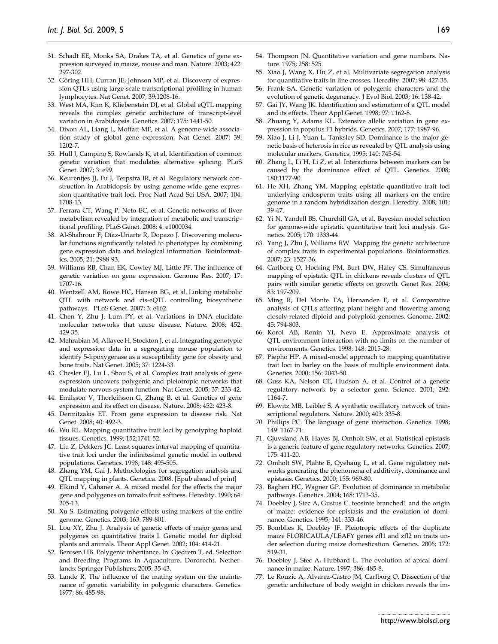- 31. Schadt EE, Monks SA, Drakes TA, et al. Genetics of gene expression surveyed in maize, mouse and man. Nature. 2003; 422: 297-302.
- 32. Göring HH, Curran JE, Johnson MP, et al. Discovery of expression QTLs using large-scale transcriptional profiling in human lymphocytes. Nat Genet. 2007; 39:1208-16.
- 33. West MA, Kim K, Kliebenstein DJ, et al. Global eQTL mapping reveals the complex genetic architecture of transcript-level variation in Arabidopsis. Genetics. 2007; 175: 1441-50.
- 34. Dixon AL, Liang L, Moffatt MF, et al. A genome-wide association study of global gene expression. Nat Genet. 2007; 39: 1202-7.
- 35. Hull J, Campino S, Rowlands K, et al. Identification of common genetic variation that modulates alternative splicing. PLoS Genet. 2007; 3: e99.
- 36. Keurentjes JJ, Fu J, Terpstra IR, et al. Regulatory network construction in Arabidopsis by using genome-wide gene expression quantitative trait loci. Proc Natl Acad Sci USA. 2007; 104: 1708-13.
- 37. Ferrara CT, Wang P, Neto EC, et al. Genetic networks of liver metabolism revealed by integration of metabolic and transcriptional profiling. PLoS Genet. 2008; 4: e1000034.
- 38. Al-Shahrour F, Díaz-Uriarte R, Dopazo J. Discovering molecular functions significantly related to phenotypes by combining gene expression data and biological information. Bioinformatics. 2005; 21: 2988-93.
- 39. Williams RB, Chan EK, Cowley MJ, Little PF. The influence of genetic variation on gene expression. Genome Res. 2007; 17: 1707-16.
- 40. Wentzell AM, Rowe HC, Hansen BG, et al. Linking metabolic QTL with network and cis-eQTL controlling biosynthetic pathways. PLoS Genet. 2007; 3: e162.
- 41. Chen Y, Zhu J, Lum PY, et al. Variations in DNA elucidate molecular networks that cause disease. Nature. 2008; 452: 429-35.
- 42. Mehrabian M, Allayee H, Stockton J, et al. Integrating genotypic and expression data in a segregating mouse population to identify 5-lipoxygenase as a susceptibility gene for obesity and bone traits. Nat Genet. 2005; 37: 1224-33.
- 43. Chesler EJ, Lu L, Shou S, et al. Complex trait analysis of gene expression uncovers polygenic and pleiotropic networks that modulate nervous system function. Nat Genet. 2005; 37: 233-42.
- 44. Emilsson V, Thorleifsson G, Zhang B, et al. Genetics of gene expression and its effect on disease. Nature. 2008; 452: 423-8.
- 45. Dermitzakis ET. From gene expression to disease risk. Nat Genet. 2008; 40: 492-3.
- 46. Wu RL. Mapping quantitative trait loci by genotyping haploid tissues. Genetics. 1999; 152:1741-52.
- 47. Liu Z, Dekkers JC. Least squares interval mapping of quantitative trait loci under the infinitesimal genetic model in outbred populations. Genetics. 1998; 148: 495-505.
- 48. Zhang YM, Gai J. Methodologies for segregation analysis and QTL mapping in plants. Genetica. 2008. [Epub ahead of print]
- 49. Elkind Y, Cahaner A. A mixed model for the effects the major gene and polygenes on tomato fruit softness. Heredity. 1990; 64: 205-13.
- 50. Xu S. Estimating polygenic effects using markers of the entire genome. Genetics. 2003; 163: 789-801.
- 51. Lou XY, Zhu J. Analysis of genetic effects of major genes and polygenes on quantitative traits I. Genetic model for diploid plants and animals. Theor Appl Genet. 2002; 104: 414-21.
- 52. Bentsen HB. Polygenic inheritance. In: Gjedrem T, ed. Selection and Breeding Programs in Aquaculture. Dordrecht, Netherlands: Springer Publishers; 2005: 35-43.
- 53. Lande R. The influence of the mating system on the maintenance of genetic variability in polygenic characters. Genetics. 1977; 86: 485-98.
- 54. Thompson JN. Quantitative variation and gene numbers. Nature. 1975; 258: 525.
- 55. Xiao J, Wang X, Hu Z, et al. Multivariate segregation analysis for quantitative traits in line crosses. Heredity. 2007; 98: 427-35.
- 56. Frank SA. Genetic variation of polygenic characters and the evolution of genetic degeneracy. J Evol Biol. 2003; 16: 138-42.
- 57. Gai JY, Wang JK. Identification and estimation of a QTL model and its effects. Theor Appl Genet. 1998; 97: 1162-8.
- 58. Zhuang Y, Adams KL. Extensive allelic variation in gene expression in populus F1 hybrids. Genetics. 2007; 177: 1987-96.
- 59. Xiao J, Li J, Yuan L, Tanksley SD. Dominance is the major genetic basis of heterosis in rice as revealed by QTL analysis using molecular markers. Genetics. 1995; 140: 745-54.
- 60. Zhang L, Li H, Li Z, et al. Interactions between markers can be caused by the dominance effect of QTL. Genetics. 2008; 180:1177-90.
- 61. He XH, Zhang YM. Mapping epistatic quantitative trait loci underlying endosperm traits using all markers on the entire genome in a random hybridization design. Heredity. 2008; 101: 39-47.
- 62. Yi N, Yandell BS, Churchill GA, et al. Bayesian model selection for genome-wide epistatic quantitative trait loci analysis. Genetics. 2005; 170: 1333-44.
- 63. Yang J, Zhu J, Williams RW. Mapping the genetic architecture of complex traits in experimental populations. Bioinformatics. 2007; 23: 1527-36.
- 64. Carlborg O, Hocking PM, Burt DW, Haley CS. Simultaneous mapping of epistatic QTL in chickens reveals clusters of QTL pairs with similar genetic effects on growth. Genet Res. 2004; 83: 197-209.
- 65. Ming R, Del Monte TA, Hernandez E, et al. Comparative analysis of QTLs affecting plant height and flowering among closely-related diploid and polyploid genomes. Genome. 2002; 45: 794-803.
- 66. Korol AB, Ronin YI, Nevo E. Approximate analysis of QTL-environment interaction with no limits on the number of environments. Genetics. 1998; 148: 2015-28.
- 67. Piepho HP. A mixed-model approach to mapping quantitative trait loci in barley on the basis of multiple environment data. Genetics. 2000; 156: 2043-50.
- 68. Guss KA, Nelson CE, Hudson A, et al. Control of a genetic regulatory network by a selector gene. Science. 2001; 292: 1164-7.
- 69. Elowitz MB, Leibler S. A synthetic oscillatory network of transcriptional regulators. Nature. 2000; 403: 335-8.
- 70. Phillips PC. The language of gene interaction. Genetics. 1998; 149: 1167-71.
- 71. Gjuvsland AB, Hayes BJ, Omholt SW, et al. Statistical epistasis is a generic feature of gene regulatory networks. Genetics. 2007; 175: 411-20.
- 72. Omholt SW, Plahte E, Oyehaug L, et al. Gene regulatory networks generating the phenomena of additivity, dominance and epistasis. Genetics. 2000; 155: 969-80.
- 73. Bagheri HC, Wagner GP. Evolution of dominance in metabolic pathways. Genetics. 2004; 168: 1713-35.
- 74. Doebley J, Stec A, Gustus C. teosinte branched1 and the origin of maize: evidence for epistasis and the evolution of dominance. Genetics. 1995; 141: 333-46.
- 75. Bomblies K, Doebley JF. Pleiotropic effects of the duplicate maize FLORICAULA/LEAFY genes zfl1 and zfl2 on traits under selection during maize domestication. Genetics. 2006; 172: 519-31.
- 76. Doebley J, Stec A, Hubbard L. The evolution of apical dominance in maize. Nature. 1997; 386: 485-8.
- 77. Le Rouzic A, Alvarez-Castro JM, Carlborg O. Dissection of the genetic architecture of body weight in chicken reveals the im-